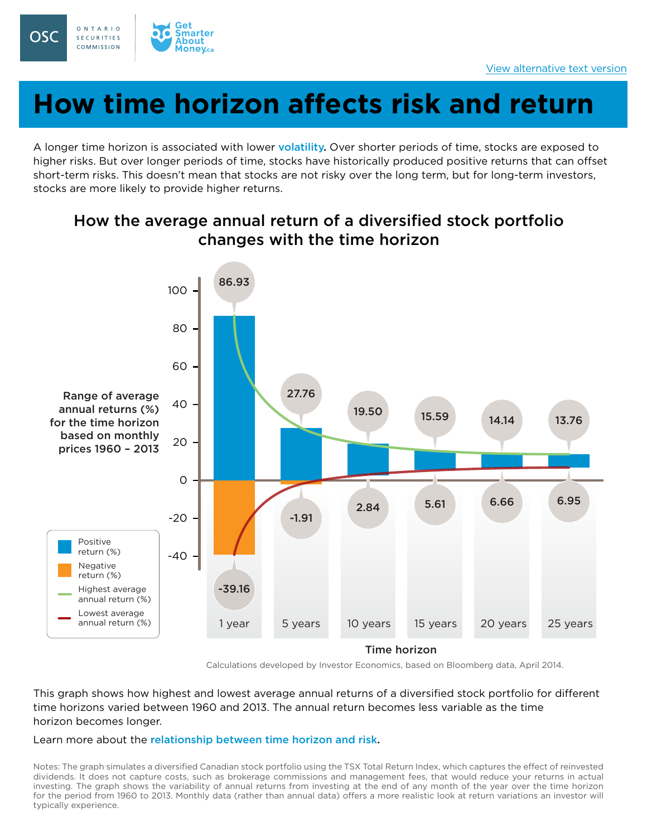

# **How time horizon affects risk and return**

A longer time horizon is associated with lower [volatility](https://www.getsmarteraboutmoney.ca/invest/investment-products/stocks/risks-of-stocks/). Over shorter periods of time, stocks are exposed to higher risks. But over longer periods of time, stocks have historically produced positive returns that can offset short-term risks. This doesn't mean that stocks are not risky over the long term, but for long-term investors, stocks are more likely to provide higher returns.



### How the average annual return of a diversified stock portfolio changes with the time horizon

Calculations developed by Investor Economics, based on Bloomberg data, April 2014.

This graph shows how highest and lowest average annual returns of a diversified stock portfolio for different time horizons varied between 1960 and 2013. The annual return becomes less variable as the time horizon becomes longer.

#### Learn more about the [relationship between time horizon and risk.](https://www.getsmarteraboutmoney.ca/invest/investing-basics/understanding-risk/time-horizon/)

Notes: The graph simulates a diversified Canadian stock portfolio using the TSX Total Return Index, which captures the effect of reinvested dividends. It does not capture costs, such as brokerage commissions and management fees, that would reduce your returns in actual investing. The graph shows the variability of annual returns from investing at the end of any month of the year over the time horizon for the period from 1960 to 2013. Monthly data (rather than annual data) offers a more realistic look at return variations an investor will typically experience.